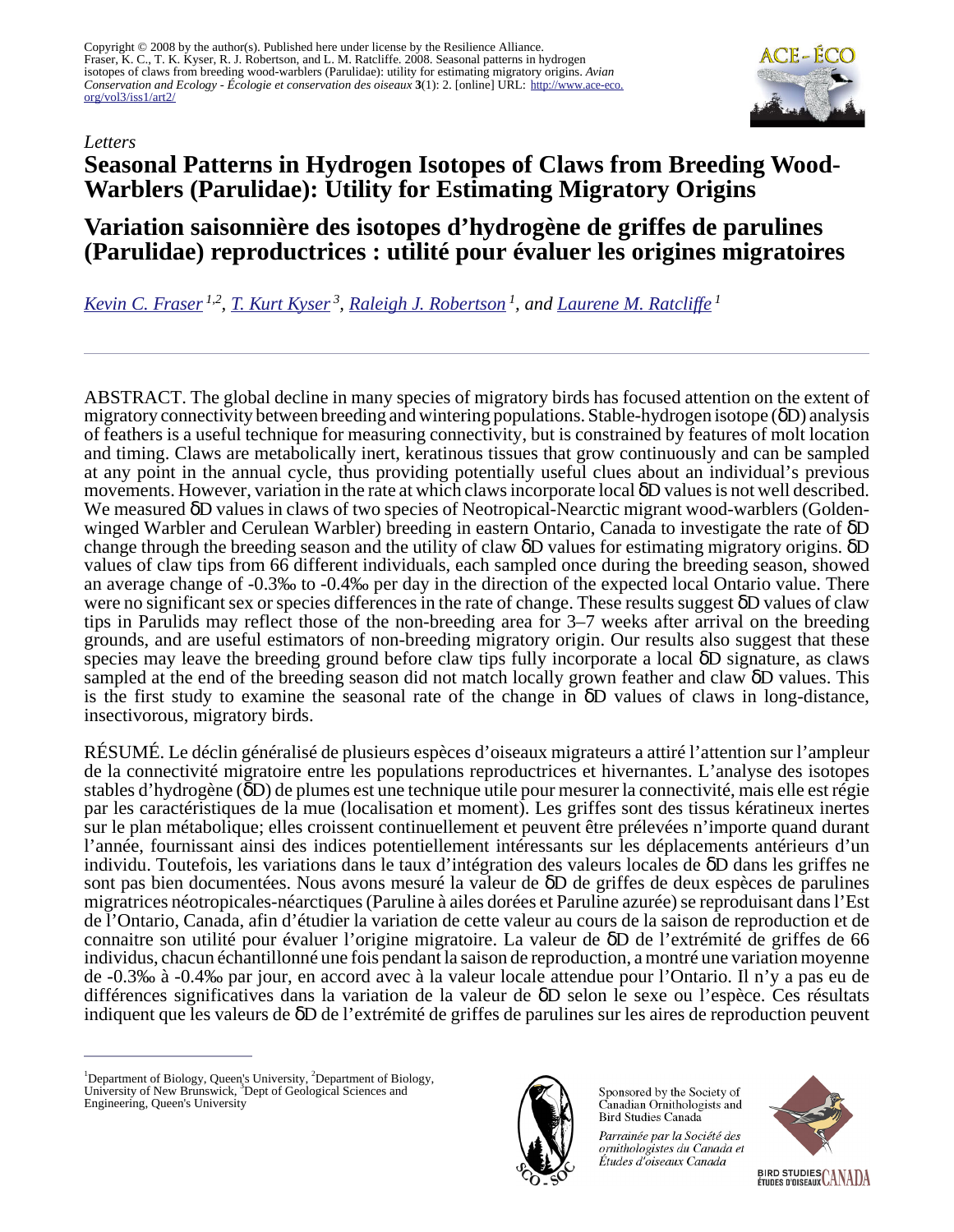

## *Letters* **Seasonal Patterns in Hydrogen Isotopes of Claws from Breeding Wood-Warblers (Parulidae): Utility for Estimating Migratory Origins**

# **Variation saisonnière des isotopes d'hydrogène de griffes de parulines (Parulidae) reproductrices : utilité pour évaluer les origines migratoires**

*[Kevin C. Fraser](mailto:kevin.fraser@unb.ca) 1,2 , [T. Kurt Kyser](mailto:kyser@geol.queensu.ca)<sup>3</sup> , [Raleigh J. Robertson](mailto:robertsr@biology.queensu.ca)<sup>1</sup>, and [Laurene M. Ratcliffe](mailto:ratcliff@biology.queensu.ca)<sup>1</sup>*

ABSTRACT. The global decline in many species of migratory birds has focused attention on the extent of migratory connectivity between breeding and wintering populations. Stable-hydrogen isotope (δD) analysis of feathers is a useful technique for measuring connectivity, but is constrained by features of molt location and timing. Claws are metabolically inert, keratinous tissues that grow continuously and can be sampled at any point in the annual cycle, thus providing potentially useful clues about an individual's previous movements. However, variation in the rate at which claws incorporate local δD values is not well described. We measured δD values in claws of two species of Neotropical-Nearctic migrant wood-warblers (Goldenwinged Warbler and Cerulean Warbler) breeding in eastern Ontario, Canada to investigate the rate of δD change through the breeding season and the utility of claw δD values for estimating migratory origins. δD values of claw tips from 66 different individuals, each sampled once during the breeding season, showed an average change of -0.3‰ to -0.4‰ per day in the direction of the expected local Ontario value. There were no significant sex or species differences in the rate of change. These results suggest δD values of claw tips in Parulids may reflect those of the non-breeding area for 3–7 weeks after arrival on the breeding grounds, and are useful estimators of non-breeding migratory origin. Our results also suggest that these species may leave the breeding ground before claw tips fully incorporate a local δD signature, as claws sampled at the end of the breeding season did not match locally grown feather and claw δD values. This is the first study to examine the seasonal rate of the change in  $\delta D$  values of claws in long-distance, insectivorous, migratory birds.

RÉSUMÉ. Le déclin généralisé de plusieurs espèces d'oiseaux migrateurs a attiré l'attention sur l'ampleur de la connectivité migratoire entre les populations reproductrices et hivernantes. L'analyse des isotopes stables d'hydrogène (δD) de plumes est une technique utile pour mesurer la connectivité, mais elle est régie par les caractéristiques de la mue (localisation et moment). Les griffes sont des tissus kératineux inertes sur le plan métabolique; elles croissent continuellement et peuvent être prélevées n'importe quand durant l'année, fournissant ainsi des indices potentiellement intéressants sur les déplacements antérieurs d'un individu. Toutefois, les variations dans le taux d'intégration des valeurs locales de δD dans les griffes ne sont pas bien documentées. Nous avons mesuré la valeur de δD de griffes de deux espèces de parulines migratrices néotropicales-néarctiques (Paruline à ailes dorées et Paruline azurée) se reproduisant dans l'Est de l'Ontario, Canada, afin d'étudier la variation de cette valeur au cours de la saison de reproduction et de connaitre son utilité pour évaluer l'origine migratoire. La valeur de δD de l'extrémité de griffes de 66 individus, chacun échantillonné une fois pendant la saison de reproduction, a montré une variation moyenne de -0.3‰ à -0.4‰ par jour, en accord avec à la valeur locale attendue pour l'Ontario. Il n'y a pas eu de différences significatives dans la variation de la valeur de δD selon le sexe ou l'espèce. Ces résultats indiquent que les valeurs de δD de l'extrémité de griffes de parulines sur les aires de reproduction peuvent



Sponsored by the Society of Canadian Ornithologists and Bird Studies Canada

Parrainée par la Société des ornithologistes du Canada et Études d'oiseaux Canada



<sup>&</sup>lt;sup>1</sup>Department of Biology, Queen's University, <sup>2</sup>Department of Biology, University of New Brunswick, <sup>3</sup>Dept of Geological Sciences and Engineering, Queen's University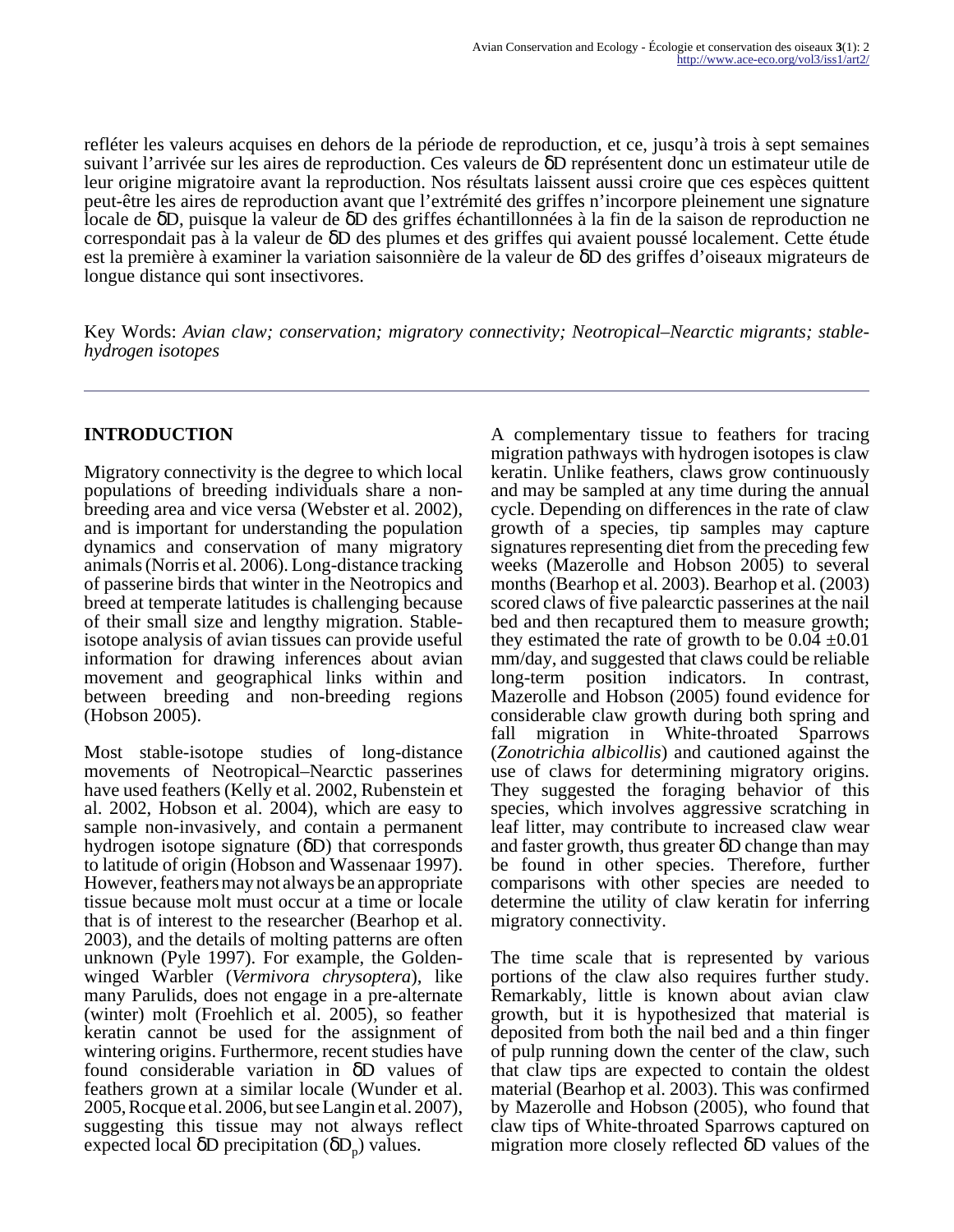refléter les valeurs acquises en dehors de la période de reproduction, et ce, jusqu'à trois à sept semaines suivant l'arrivée sur les aires de reproduction. Ces valeurs de δD représentent donc un estimateur utile de leur origine migratoire avant la reproduction. Nos résultats laissent aussi croire que ces espèces quittent peut-être les aires de reproduction avant que l'extrémité des griffes n'incorpore pleinement une signature locale de δD, puisque la valeur de δD des griffes échantillonnées à la fin de la saison de reproduction ne correspondait pas à la valeur de δD des plumes et des griffes qui avaient poussé localement. Cette étude est la première à examiner la variation saisonnière de la valeur de δD des griffes d'oiseaux migrateurs de longue distance qui sont insectivores.

Key Words: *Avian claw; conservation; migratory connectivity; Neotropical–Nearctic migrants; stablehydrogen isotopes*

### **INTRODUCTION**

Migratory connectivity is the degree to which local populations of breeding individuals share a nonbreeding area and vice versa (Webster et al. 2002), and is important for understanding the population dynamics and conservation of many migratory animals (Norris et al. 2006). Long-distance tracking of passerine birds that winter in the Neotropics and breed at temperate latitudes is challenging because of their small size and lengthy migration. Stableisotope analysis of avian tissues can provide useful information for drawing inferences about avian movement and geographical links within and between breeding and non-breeding regions (Hobson 2005).

Most stable-isotope studies of long-distance movements of Neotropical–Nearctic passerines have used feathers (Kelly et al. 2002, Rubenstein et al. 2002, Hobson et al. 2004), which are easy to sample non-invasively, and contain a permanent hydrogen isotope signature (δD) that corresponds to latitude of origin (Hobson and Wassenaar 1997). However, feathers may not always be an appropriate tissue because molt must occur at a time or locale that is of interest to the researcher (Bearhop et al. 2003), and the details of molting patterns are often unknown (Pyle 1997). For example, the Goldenwinged Warbler (*Vermivora chrysoptera*), like many Parulids, does not engage in a pre-alternate (winter) molt (Froehlich et al. 2005), so feather keratin cannot be used for the assignment of wintering origins. Furthermore, recent studies have found considerable variation in δD values of feathers grown at a similar locale (Wunder et al. 2005, Rocque et al. 2006, but see Langin et al. 2007), suggesting this tissue may not always reflect expected local  $\delta D$  precipitation ( $\delta D_p$ ) values.

A complementary tissue to feathers for tracing migration pathways with hydrogen isotopes is claw keratin. Unlike feathers, claws grow continuously and may be sampled at any time during the annual cycle. Depending on differences in the rate of claw growth of a species, tip samples may capture signatures representing diet from the preceding few weeks (Mazerolle and Hobson 2005) to several months (Bearhop et al. 2003). Bearhop et al. (2003) scored claws of five palearctic passerines at the nail bed and then recaptured them to measure growth; they estimated the rate of growth to be  $0.04 \pm 0.01$ mm/day, and suggested that claws could be reliable long-term position indicators. In contrast, Mazerolle and Hobson (2005) found evidence for considerable claw growth during both spring and fall migration in White-throated Sparrows (*Zonotrichia albicollis*) and cautioned against the use of claws for determining migratory origins. They suggested the foraging behavior of this species, which involves aggressive scratching in leaf litter, may contribute to increased claw wear and faster growth, thus greater δD change than may be found in other species. Therefore, further comparisons with other species are needed to determine the utility of claw keratin for inferring migratory connectivity.

The time scale that is represented by various portions of the claw also requires further study. Remarkably, little is known about avian claw growth, but it is hypothesized that material is deposited from both the nail bed and a thin finger of pulp running down the center of the claw, such that claw tips are expected to contain the oldest material (Bearhop et al. 2003). This was confirmed by Mazerolle and Hobson (2005), who found that claw tips of White-throated Sparrows captured on migration more closely reflected δD values of the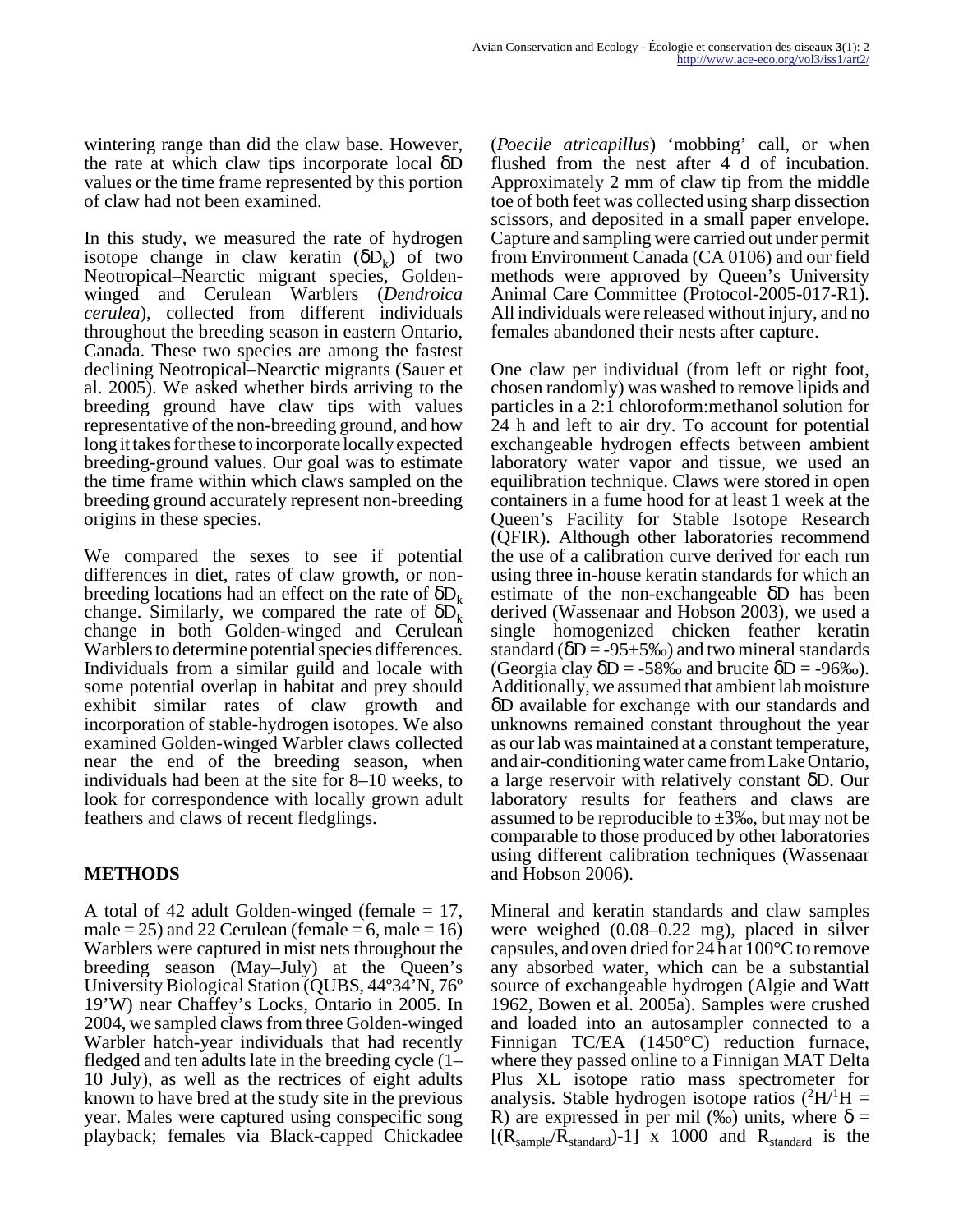wintering range than did the claw base. However, the rate at which claw tips incorporate local δD values or the time frame represented by this portion of claw had not been examined.

In this study, we measured the rate of hydrogen isotope change in claw keratin  $(\delta D_k)$  of two Neotropical–Nearctic migrant species, Goldenwinged and Cerulean Warblers (*Dendroica cerulea*), collected from different individuals throughout the breeding season in eastern Ontario, Canada. These two species are among the fastest declining Neotropical–Nearctic migrants (Sauer et al. 2005). We asked whether birds arriving to the breeding ground have claw tips with values representative of the non-breeding ground, and how long it takes for these to incorporate locally expected breeding-ground values. Our goal was to estimate the time frame within which claws sampled on the breeding ground accurately represent non-breeding origins in these species.

We compared the sexes to see if potential differences in diet, rates of claw growth, or nonbreeding locations had an effect on the rate of  $\delta D_k$ change. Similarly, we compared the rate of  $\delta D_k$ change in both Golden-winged and Cerulean Warblers to determine potential species differences. Individuals from a similar guild and locale with some potential overlap in habitat and prey should exhibit similar rates of claw growth and incorporation of stable-hydrogen isotopes. We also examined Golden-winged Warbler claws collected near the end of the breeding season, when individuals had been at the site for 8–10 weeks, to look for correspondence with locally grown adult feathers and claws of recent fledglings.

### **METHODS**

A total of 42 adult Golden-winged (female = 17, male  $= 25$ ) and 22 Cerulean (female  $= 6$ , male  $= 16$ ) Warblers were captured in mist nets throughout the breeding season (May–July) at the Queen's University Biological Station (QUBS, 44º34'N, 76º 19'W) near Chaffey's Locks, Ontario in 2005. In 2004, we sampled claws from three Golden-winged Warbler hatch-year individuals that had recently fledged and ten adults late in the breeding cycle (1– 10 July), as well as the rectrices of eight adults known to have bred at the study site in the previous year. Males were captured using conspecific song playback; females via Black-capped Chickadee

(*Poecile atricapillus*) 'mobbing' call, or when flushed from the nest after 4 d of incubation. Approximately 2 mm of claw tip from the middle toe of both feet was collected using sharp dissection scissors, and deposited in a small paper envelope. Capture and sampling were carried out under permit from Environment Canada (CA 0106) and our field methods were approved by Queen's University Animal Care Committee (Protocol-2005-017-R1). All individuals were released without injury, and no females abandoned their nests after capture.

One claw per individual (from left or right foot, chosen randomly) was washed to remove lipids and particles in a 2:1 chloroform:methanol solution for 24 h and left to air dry. To account for potential exchangeable hydrogen effects between ambient laboratory water vapor and tissue, we used an equilibration technique. Claws were stored in open containers in a fume hood for at least 1 week at the Queen's Facility for Stable Isotope Research (QFIR). Although other laboratories recommend the use of a calibration curve derived for each run using three in-house keratin standards for which an estimate of the non-exchangeable δD has been derived (Wassenaar and Hobson 2003), we used a single homogenized chicken feather keratin standard ( $\delta D = -95 \pm 5\%$ ) and two mineral standards (Georgia clay  $\delta D = -58\%$  and brucite  $\delta D = -96\%$ ). Additionally, we assumed that ambient lab moisture δD available for exchange with our standards and unknowns remained constant throughout the year as our lab was maintained at a constant temperature, and air-conditioning water came from Lake Ontario, a large reservoir with relatively constant δD. Our laboratory results for feathers and claws are assumed to be reproducible to  $\pm 3\%$ , but may not be comparable to those produced by other laboratories using different calibration techniques (Wassenaar and Hobson 2006).

Mineral and keratin standards and claw samples were weighed (0.08–0.22 mg), placed in silver capsules, and oven dried for 24 h at 100°C to remove any absorbed water, which can be a substantial source of exchangeable hydrogen (Algie and Watt 1962, Bowen et al. 2005a). Samples were crushed and loaded into an autosampler connected to a Finnigan TC/EA (1450°C) reduction furnace, where they passed online to a Finnigan MAT Delta Plus XL isotope ratio mass spectrometer for analysis. Stable hydrogen isotope ratios  $(^{2}H/^{1}H =$ R) are expressed in per mil (‰) units, where  $\delta$  =  $[(R_{sample}/R_{standard})-1]$  x 1000 and  $R_{standard}$  is the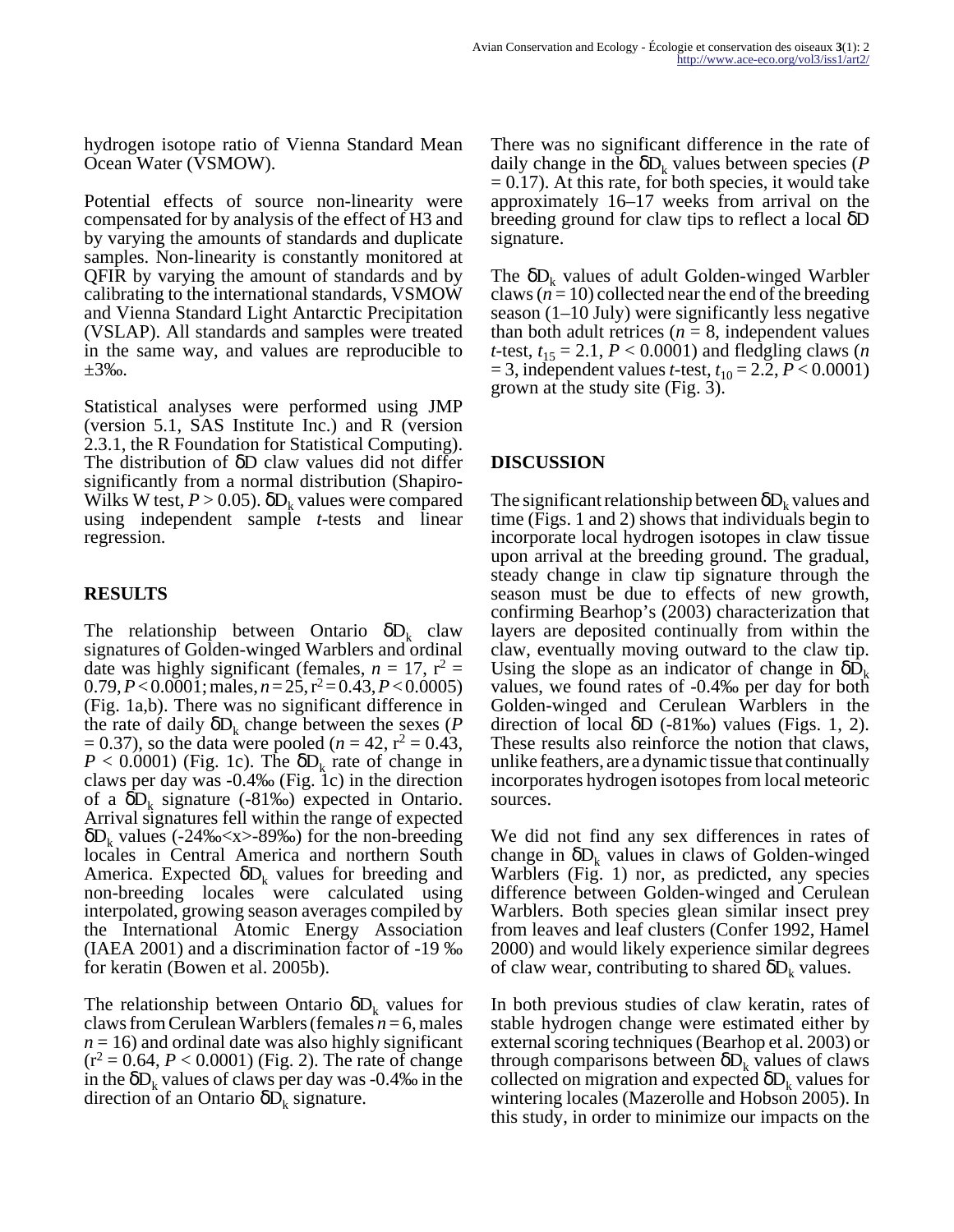hydrogen isotope ratio of Vienna Standard Mean Ocean Water (VSMOW).

Potential effects of source non-linearity were compensated for by analysis of the effect of H3 and by varying the amounts of standards and duplicate samples. Non-linearity is constantly monitored at QFIR by varying the amount of standards and by calibrating to the international standards, VSMOW and Vienna Standard Light Antarctic Precipitation (VSLAP). All standards and samples were treated in the same way, and values are reproducible to ±3‰.

Statistical analyses were performed using JMP (version 5.1, SAS Institute Inc.) and R (version 2.3.1, the R Foundation for Statistical Computing). The distribution of δD claw values did not differ significantly from a normal distribution (Shapiro-Wilks W test,  $P > 0.05$ ).  $\delta D_k$  values were compared using independent sample *t*-tests and linear regression.

#### **RESULTS**

The relationship between Ontario  $\delta D_k$  claw signatures of Golden-winged Warblers and ordinal date was highly significant (females,  $n = 17$ ,  $r^2 =$ 0.79,  $P < 0.0001$ ; males,  $n = 25$ ,  $r^2 = 0.43$ ,  $P < 0.0005$ ) (Fig. 1a,b). There was no significant difference in the rate of daily  $\delta D_k$  change between the sexes ( $P$  $= 0.37$ ), so the data were pooled (*n* = 42, r<sup>2</sup> = 0.43,  $P < 0.0001$ ) (Fig. 1c). The  $\delta D_k$  rate of change in claws per day was -0.4‰ (Fig. 1c) in the direction of a  $\delta D_k$  signature (-81‰) expected in Ontario. Arrival signatures fell within the range of expected  $\delta D_k$  values (-24‰ <x > -89‰) for the non-breeding locales in Central America and northern South America. Expected  $\delta D_k$  values for breeding and non-breeding locales were calculated using interpolated, growing season averages compiled by the International Atomic Energy Association (IAEA 2001) and a discrimination factor of -19 ‰ for keratin (Bowen et al. 2005b).

The relationship between Ontario  $\delta D_k$  values for claws from Cerulean Warblers (females *n* = 6, males  $n = 16$ ) and ordinal date was also highly significant  $(r^2 = 0.64, P < 0.0001)$  (Fig. 2). The rate of change in the  $\delta D_k$  values of claws per day was -0.4‰ in the direction of an Ontario  $\delta D_k$  signature.

There was no significant difference in the rate of daily change in the  $\delta D_k$  values between species (*P*  $= 0.17$ ). At this rate, for both species, it would take approximately 16–17 weeks from arrival on the breeding ground for claw tips to reflect a local δD signature.

The  $\delta D_k$  values of adult Golden-winged Warbler claws  $(n = 10)$  collected near the end of the breeding season (1–10 July) were significantly less negative than both adult retrices ( $n = 8$ , independent values *t*-test,  $t_{15} = 2.1$ ,  $P < 0.0001$ ) and fledgling claws (*n*  $= 3$ , independent values *t*-test,  $t_{10} = 2.2, P < 0.0001$ ) grown at the study site (Fig. 3).

#### **DISCUSSION**

The significant relationship between  $\delta D_k$  values and time (Figs. 1 and 2) shows that individuals begin to incorporate local hydrogen isotopes in claw tissue upon arrival at the breeding ground. The gradual, steady change in claw tip signature through the season must be due to effects of new growth, confirming Bearhop's (2003) characterization that layers are deposited continually from within the claw, eventually moving outward to the claw tip. Using the slope as an indicator of change in  $\delta D_k$ values, we found rates of -0.4‰ per day for both Golden-winged and Cerulean Warblers in the direction of local δD (-81‰) values (Figs. 1, 2). These results also reinforce the notion that claws, unlike feathers, are a dynamic tissue that continually incorporates hydrogen isotopes from local meteoric sources.

We did not find any sex differences in rates of change in  $\delta D_k$  values in claws of Golden-winged Warblers (Fig. 1) nor, as predicted, any species difference between Golden-winged and Cerulean Warblers. Both species glean similar insect prey from leaves and leaf clusters (Confer 1992, Hamel 2000) and would likely experience similar degrees of claw wear, contributing to shared  $\delta D_k$  values.

In both previous studies of claw keratin, rates of stable hydrogen change were estimated either by external scoring techniques (Bearhop et al. 2003) or through comparisons between  $\delta D_k$  values of claws collected on migration and expected  $\delta D_k$  values for wintering locales (Mazerolle and Hobson 2005). In this study, in order to minimize our impacts on the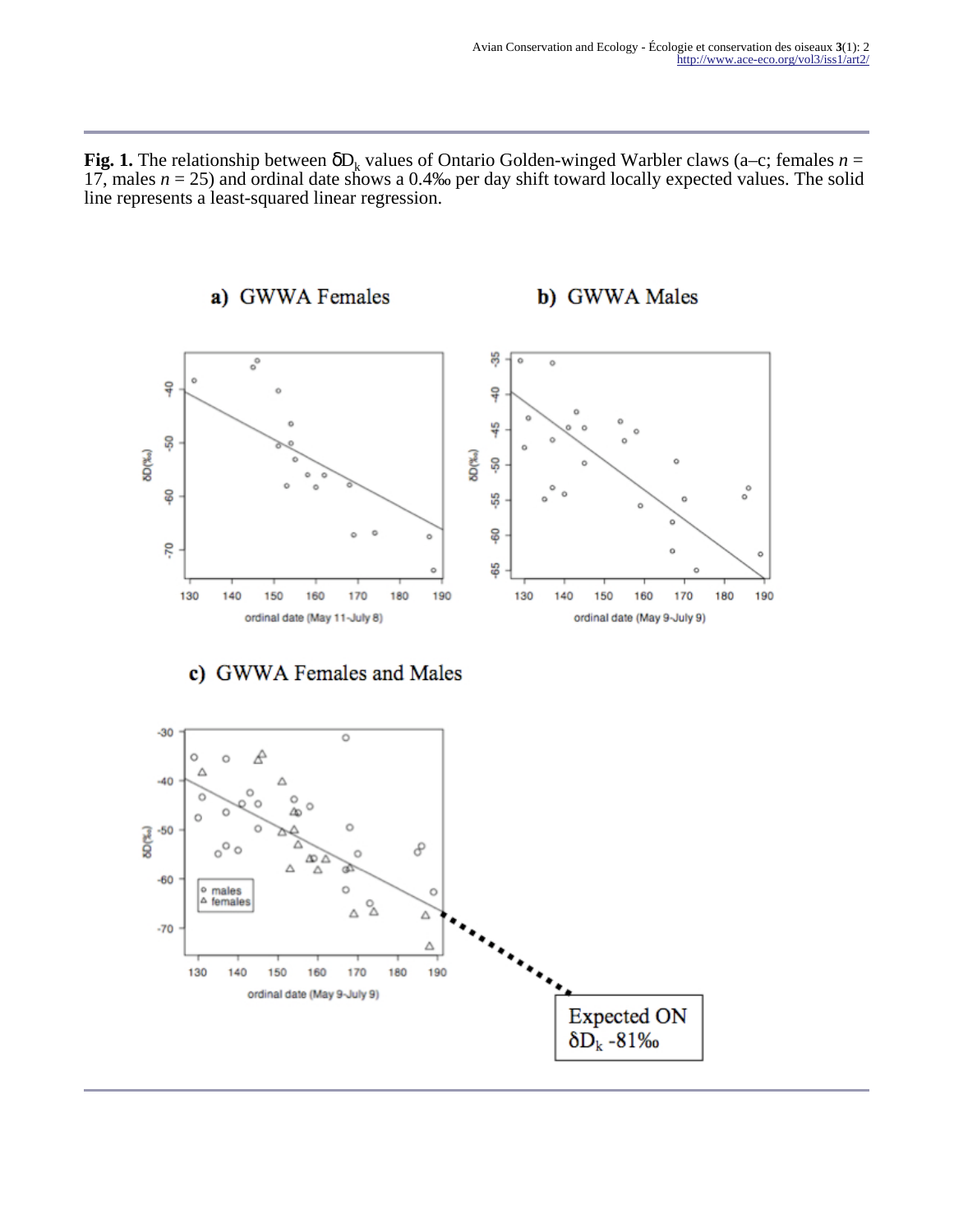**Fig. 1.** The relationship between  $\delta D_k$  values of Ontario Golden-winged Warbler claws (a–c; females  $n =$ 17, males  $n = 25$ ) and ordinal date shows a 0.4‰ per day shift toward locally expected values. The solid line represents a least-squared linear regression.

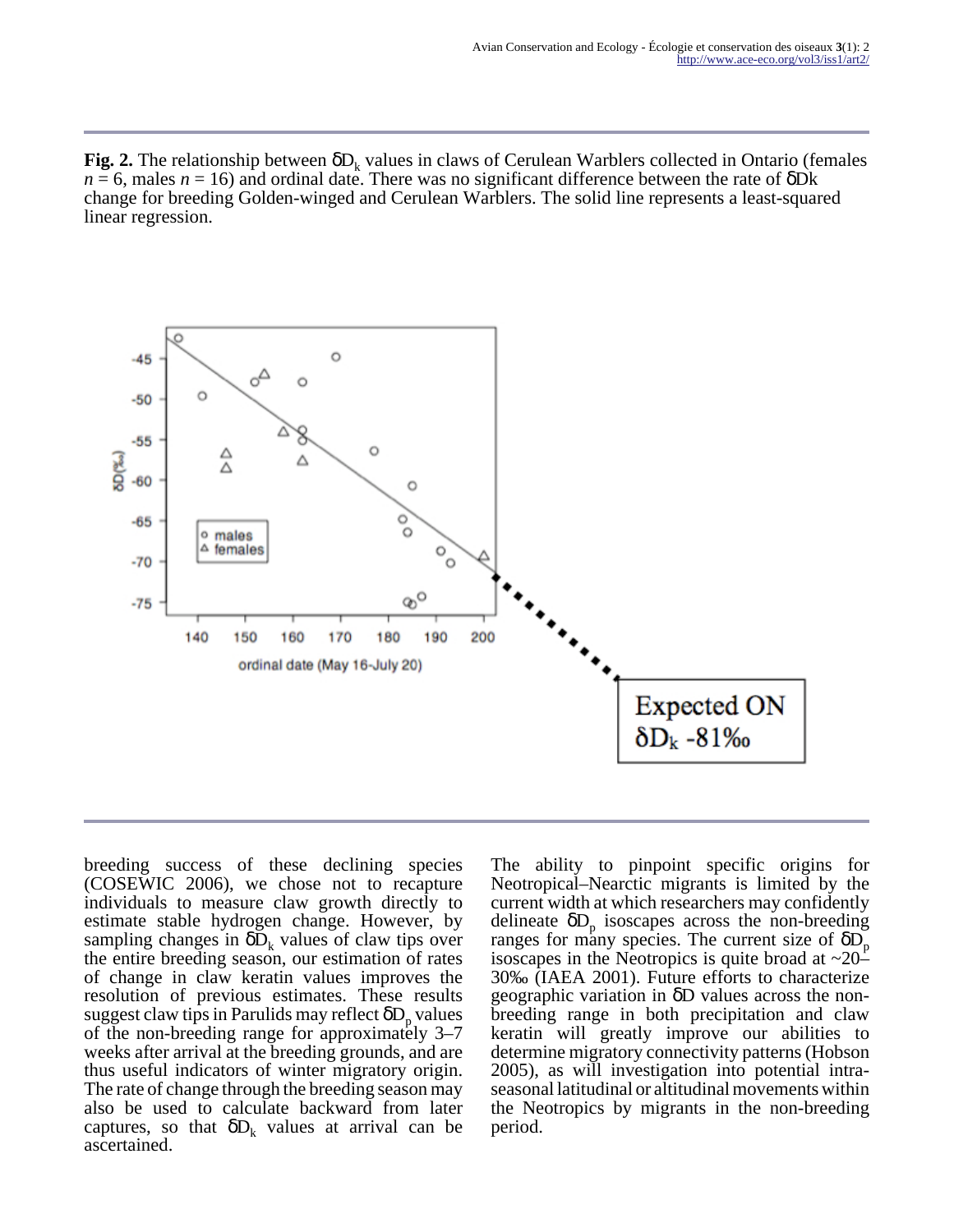**Fig. 2.** The relationship between  $\delta D_k$  values in claws of Cerulean Warblers collected in Ontario (females  $n = 6$ , males  $n = 16$ ) and ordinal date. There was no significant difference between the rate of  $\delta Dk$ change for breeding Golden-winged and Cerulean Warblers. The solid line represents a least-squared linear regression.



breeding success of these declining species (COSEWIC 2006), we chose not to recapture individuals to measure claw growth directly to estimate stable hydrogen change. However, by sampling changes in  $\delta\bar{D}_k$  values of claw tips over the entire breeding season, our estimation of rates of change in claw keratin values improves the resolution of previous estimates. These results suggest claw tips in Parulids may reflect  $\delta D_p$  values of the non-breeding range for approximately 3–7 weeks after arrival at the breeding grounds, and are thus useful indicators of winter migratory origin. The rate of change through the breeding season may also be used to calculate backward from later captures, so that  $\delta D_k$  values at arrival can be ascertained.

The ability to pinpoint specific origins for Neotropical–Nearctic migrants is limited by the current width at which researchers may confidently delineate  $\delta D_p$  isoscapes across the non-breeding ranges for many species. The current size of  $\delta D_p$ isoscapes in the Neotropics is quite broad at  $\sim 20^{\degree}$ 30‰ (IAEA 2001). Future efforts to characterize geographic variation in δD values across the nonbreeding range in both precipitation and claw keratin will greatly improve our abilities to determine migratory connectivity patterns (Hobson 2005), as will investigation into potential intraseasonal latitudinal or altitudinal movements within the Neotropics by migrants in the non-breeding period.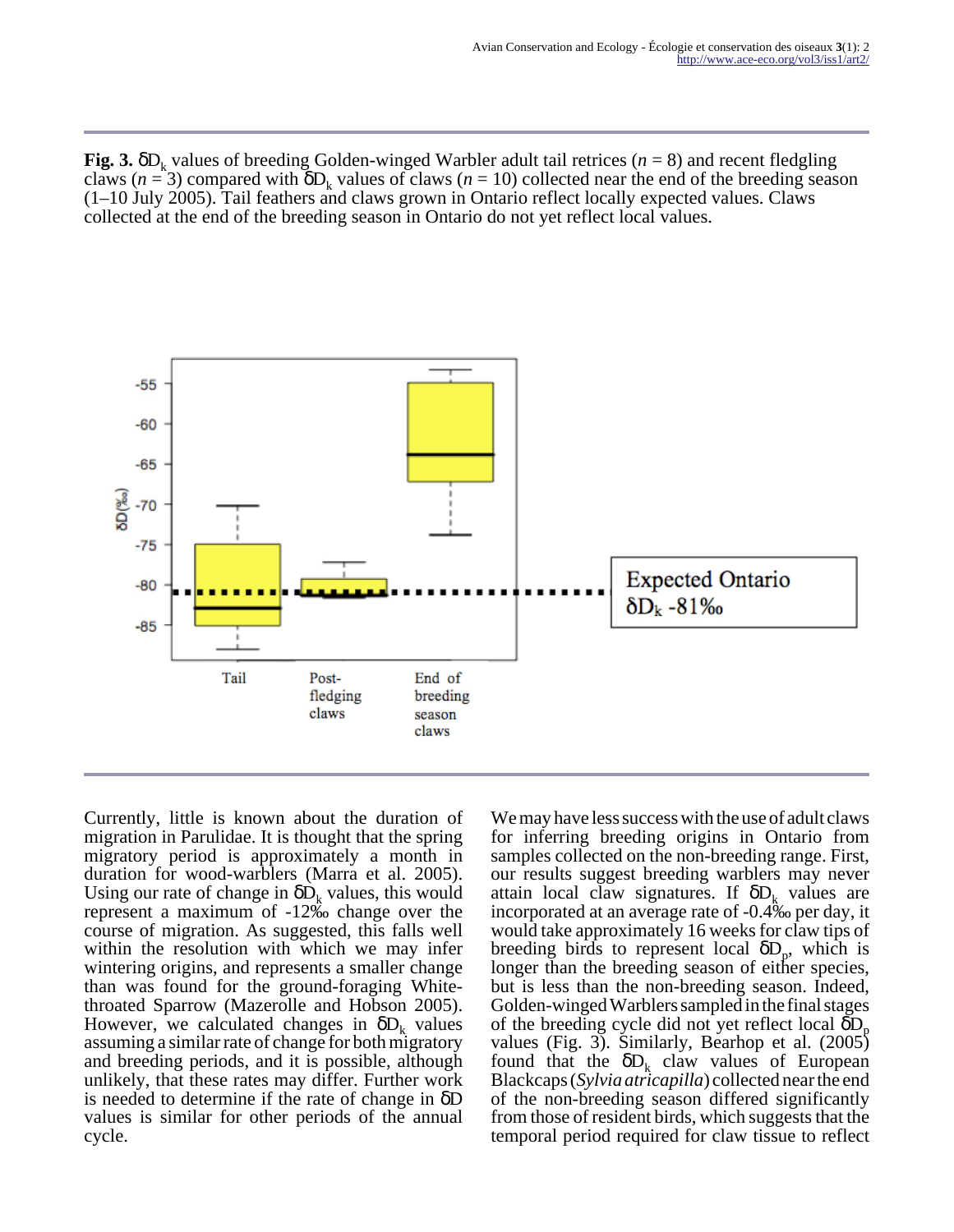**Fig. 3.**  $\delta D_k$  values of breeding Golden-winged Warbler adult tail retrices ( $n = 8$ ) and recent fledgling claws  $(n=3)$  compared with  $\delta D_k$  values of claws  $(n=10)$  collected near the end of the breeding season (1–10 July 2005). Tail feathers and claws grown in Ontario reflect locally expected values. Claws collected at the end of the breeding season in Ontario do not yet reflect local values.



Currently, little is known about the duration of migration in Parulidae. It is thought that the spring migratory period is approximately a month in duration for wood-warblers (Marra et al. 2005). Using our rate of change in  $\delta D_k$  values, this would represent a maximum of -12‰ change over the course of migration. As suggested, this falls well within the resolution with which we may infer wintering origins, and represents a smaller change than was found for the ground-foraging Whitethroated Sparrow (Mazerolle and Hobson 2005). However, we calculated changes in  $\delta D_k$  values assuming a similar rate of change for both migratory and breeding periods, and it is possible, although unlikely, that these rates may differ. Further work is needed to determine if the rate of change in δD values is similar for other periods of the annual cycle.

We may have less success with the use of adult claws for inferring breeding origins in Ontario from samples collected on the non-breeding range. First, our results suggest breeding warblers may never attain local claw signatures. If  $\delta D_k$  values are incorporated at an average rate of -0.4‰ per day, it would take approximately 16 weeks for claw tips of breeding birds to represent local  $\delta D_p$ , which is longer than the breeding season of either species, but is less than the non-breeding season. Indeed, Golden-winged Warblers sampled in the final stages of the breeding cycle did not yet reflect local  $\delta D_n$ values (Fig. 3). Similarly, Bearhop et al. (2005) found that the  $\delta D_k$  claw values of European Blackcaps (*Sylvia atricapilla*) collected near the end of the non-breeding season differed significantly from those of resident birds, which suggests that the temporal period required for claw tissue to reflect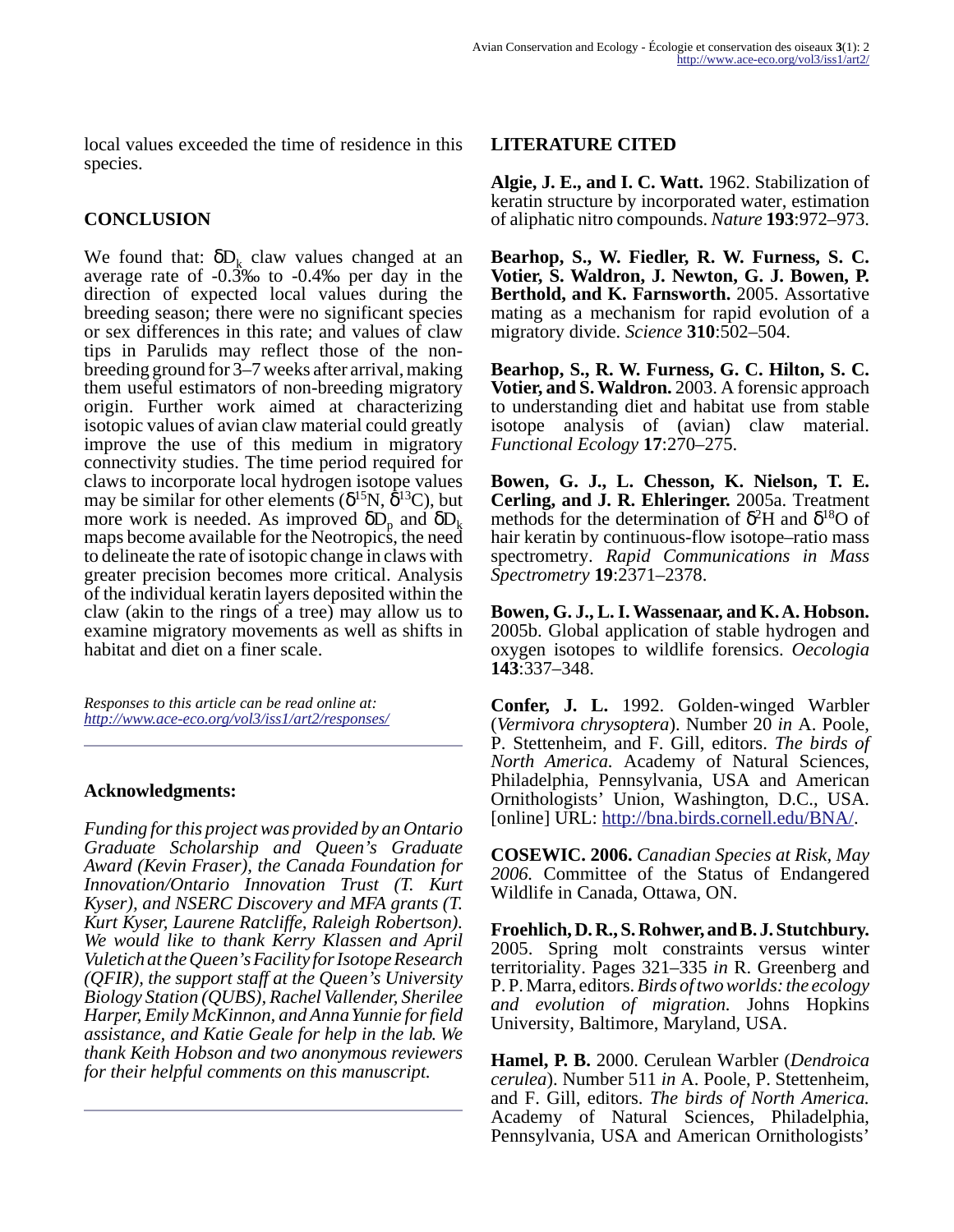local values exceeded the time of residence in this species.

#### **CONCLUSION**

We found that:  $\delta D_k$  claw values changed at an average rate of -0.3‰ to -0.4‰ per day in the direction of expected local values during the breeding season; there were no significant species or sex differences in this rate; and values of claw tips in Parulids may reflect those of the nonbreeding ground for 3–7 weeks after arrival, making them useful estimators of non-breeding migratory origin. Further work aimed at characterizing isotopic values of avian claw material could greatly improve the use of this medium in migratory connectivity studies. The time period required for claws to incorporate local hydrogen isotope values may be similar for other elements ( $\delta^{15}N$ ,  $\delta^{13}C$ ), but more work is needed. As improved  $\delta D_p$  and  $\delta D_k$ maps become available for the Neotropics, the need to delineate the rate of isotopic change in claws with greater precision becomes more critical. Analysis of the individual keratin layers deposited within the claw (akin to the rings of a tree) may allow us to examine migratory movements as well as shifts in habitat and diet on a finer scale.

*Responses to this article can be read online at: <http://www.ace-eco.org/vol3/iss1/art2/responses/>*

#### **Acknowledgments:**

*Funding for this project was provided by an Ontario Graduate Scholarship and Queen's Graduate Award (Kevin Fraser), the Canada Foundation for Innovation/Ontario Innovation Trust (T. Kurt Kyser), and NSERC Discovery and MFA grants (T. Kurt Kyser, Laurene Ratcliffe, Raleigh Robertson). We would like to thank Kerry Klassen and April Vuletich at the Queen's Facility for Isotope Research (QFIR), the support staff at the Queen's University Biology Station (QUBS), Rachel Vallender, Sherilee Harper, Emily McKinnon, and Anna Yunnie for field assistance, and Katie Geale for help in the lab. We thank Keith Hobson and two anonymous reviewers for their helpful comments on this manuscript.*

#### **LITERATURE CITED**

**Algie, J. E., and I. C. Watt.** 1962. Stabilization of keratin structure by incorporated water, estimation of aliphatic nitro compounds. *Nature* **193**:972–973.

**Bearhop, S., W. Fiedler, R. W. Furness, S. C. Votier, S. Waldron, J. Newton, G. J. Bowen, P. Berthold, and K. Farnsworth.** 2005. Assortative mating as a mechanism for rapid evolution of a migratory divide. *Science* **310**:502–504.

**Bearhop, S., R. W. Furness, G. C. Hilton, S. C. Votier, and S. Waldron.** 2003. A forensic approach to understanding diet and habitat use from stable isotope analysis of (avian) claw material. *Functional Ecology* **17**:270–275.

**Bowen, G. J., L. Chesson, K. Nielson, T. E. Cerling, and J. R. Ehleringer.** 2005a. Treatment methods for the determination of  $\delta^2$ H and  $\delta^{18}$ O of hair keratin by continuous-flow isotope–ratio mass spectrometry. *Rapid Communications in Mass Spectrometry* **19**:2371–2378.

**Bowen, G. J., L. I. Wassenaar, and K. A. Hobson.** 2005b. Global application of stable hydrogen and oxygen isotopes to wildlife forensics. *Oecologia* **143**:337–348.

**Confer, J. L.** 1992. Golden-winged Warbler (*Vermivora chrysoptera*). Number 20 *in* A. Poole, P. Stettenheim, and F. Gill, editors. *The birds of North America.* Academy of Natural Sciences, Philadelphia, Pennsylvania, USA and American Ornithologists' Union, Washington, D.C., USA. [online] URL: [http://bna.birds.cornell.edu/BNA/.](http://bna.birds.cornell.edu/BNA/)

**COSEWIC. 2006.** *Canadian Species at Risk, May 2006.* Committee of the Status of Endangered Wildlife in Canada, Ottawa, ON.

**Froehlich, D. R., S. Rohwer, and B. J. Stutchbury.** 2005. Spring molt constraints versus winter territoriality. Pages 321–335 *in* R. Greenberg and P. P. Marra, editors. *Birds of two worlds: the ecology and evolution of migration.* Johns Hopkins University, Baltimore, Maryland, USA.

**Hamel, P. B.** 2000. Cerulean Warbler (*Dendroica cerulea*). Number 511 *in* A. Poole, P. Stettenheim, and F. Gill, editors. *The birds of North America.* Academy of Natural Sciences, Philadelphia, Pennsylvania, USA and American Ornithologists'